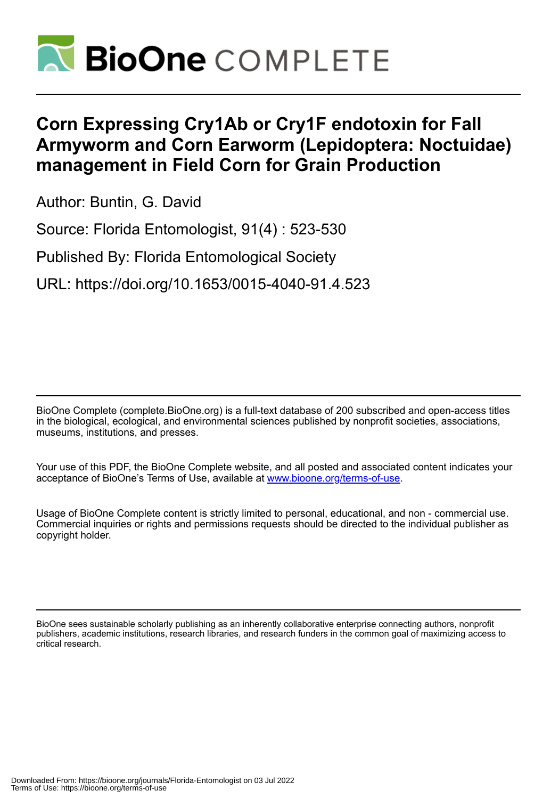

# **Corn Expressing Cry1Ab or Cry1F endotoxin for Fall Armyworm and Corn Earworm (Lepidoptera: Noctuidae) management in Field Corn for Grain Production**

Author: Buntin, G. David

Source: Florida Entomologist, 91(4) : 523-530

Published By: Florida Entomological Society

URL: https://doi.org/10.1653/0015-4040-91.4.523

BioOne Complete (complete.BioOne.org) is a full-text database of 200 subscribed and open-access titles in the biological, ecological, and environmental sciences published by nonprofit societies, associations, museums, institutions, and presses.

Your use of this PDF, the BioOne Complete website, and all posted and associated content indicates your acceptance of BioOne's Terms of Use, available at www.bioone.org/terms-of-use.

Usage of BioOne Complete content is strictly limited to personal, educational, and non - commercial use. Commercial inquiries or rights and permissions requests should be directed to the individual publisher as copyright holder.

BioOne sees sustainable scholarly publishing as an inherently collaborative enterprise connecting authors, nonprofit publishers, academic institutions, research libraries, and research funders in the common goal of maximizing access to critical research.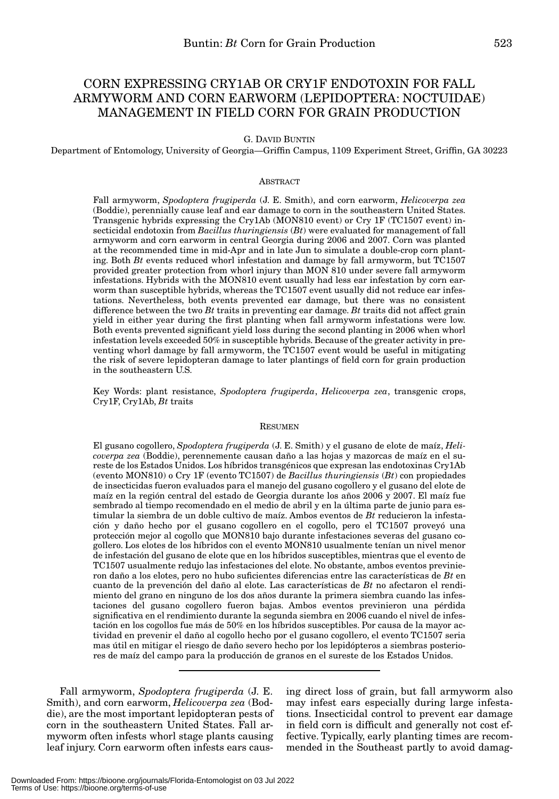# CORN EXPRESSING CRY1AB OR CRY1F ENDOTOXIN FOR FALL ARMYWORM AND CORN EARWORM (LEPIDOPTERA: NOCTUIDAE) MANAGEMENT IN FIELD CORN FOR GRAIN PRODUCTION

# G. DAVID BUNTIN

Department of Entomology, University of Georgia—Griffin Campus, 1109 Experiment Street, Griffin, GA 30223

# ABSTRACT

Fall armyworm, *Spodoptera frugiperda* (J. E. Smith), and corn earworm, *Helicoverpa zea* (Boddie), perennially cause leaf and ear damage to corn in the southeastern United States. Transgenic hybrids expressing the Cry1Ab (MON810 event) or Cry 1F (TC1507 event) insecticidal endotoxin from *Bacillus thuringiensis* (*Bt*) were evaluated for management of fall armyworm and corn earworm in central Georgia during 2006 and 2007. Corn was planted at the recommended time in mid-Apr and in late Jun to simulate a double-crop corn planting. Both *Bt* events reduced whorl infestation and damage by fall armyworm, but TC1507 provided greater protection from whorl injury than MON 810 under severe fall armyworm infestations. Hybrids with the MON810 event usually had less ear infestation by corn earworm than susceptible hybrids, whereas the TC1507 event usually did not reduce ear infestations. Nevertheless, both events prevented ear damage, but there was no consistent difference between the two *Bt* traits in preventing ear damage. *Bt* traits did not affect grain yield in either year during the first planting when fall armyworm infestations were low. Both events prevented significant yield loss during the second planting in 2006 when whorl infestation levels exceeded 50% in susceptible hybrids. Because of the greater activity in preventing whorl damage by fall armyworm, the TC1507 event would be useful in mitigating the risk of severe lepidopteran damage to later plantings of field corn for grain production in the southeastern U.S.

Key Words: plant resistance, *Spodoptera frugiperda*, *Helicoverpa zea*, transgenic crops, Cry1F, Cry1Ab, *Bt* traits

#### RESUMEN

El gusano cogollero, *Spodoptera frugiperda* (J. E. Smith) y el gusano de elote de maíz, *Helicoverpa zea* (Boddie), perennemente causan daño a las hojas y mazorcas de maíz en el sureste de los Estados Unidos. Los híbridos transgénicos que expresan las endotoxinas Cry1Ab (evento MON810) o Cry 1F (evento TC1507) de *Bacillus thuringiensis* (*Bt*) con propiedades de insecticidas fueron evaluados para el manejo del gusano cogollero y el gusano del elote de maíz en la región central del estado de Georgia durante los años 2006 y 2007. El maíz fue sembrado al tiempo recomendado en el medio de abril y en la última parte de junio para estimular la siembra de un doble cultivo de maíz. Ambos eventos de *Bt* reducieron la infestación y daño hecho por el gusano cogollero en el cogollo, pero el TC1507 proveyó una protección mejor al cogollo que MON810 bajo durante infestaciones severas del gusano cogollero. Los elotes de los híbridos con el evento MON810 usualmente tenían un nivel menor de infestación del gusano de elote que en los híbridos susceptibles, mientras que el evento de TC1507 usualmente redujo las infestaciones del elote. No obstante, ambos eventos previnieron daño a los elotes, pero no hubo suficientes diferencias entre las características de *Bt* en cuanto de la prevención del daño al elote. Las características de *Bt* no afectaron el rendimiento del grano en ninguno de los dos años durante la primera siembra cuando las infestaciones del gusano cogollero fueron bajas. Ambos eventos previnieron una pérdida significativa en el rendimiento durante la segunda siembra en 2006 cuando el nivel de infestación en los cogollos fue más de 50% en los híbridos susceptibles. Por causa de la mayor actividad en prevenir el daño al cogollo hecho por el gusano cogollero, el evento TC1507 seria mas útil en mitigar el riesgo de daño severo hecho por los lepidópteros a siembras posteriores de maíz del campo para la producción de granos en el sureste de los Estados Unidos.

Fall armyworm, *Spodoptera frugiperda* (J. E. Smith), and corn earworm, *Helicoverpa zea* (Boddie), are the most important lepidopteran pests of corn in the southeastern United States. Fall armyworm often infests whorl stage plants causing leaf injury. Corn earworm often infests ears causing direct loss of grain, but fall armyworm also may infest ears especially during large infestations. Insecticidal control to prevent ear damage in field corn is difficult and generally not cost effective. Typically, early planting times are recommended in the Southeast partly to avoid damag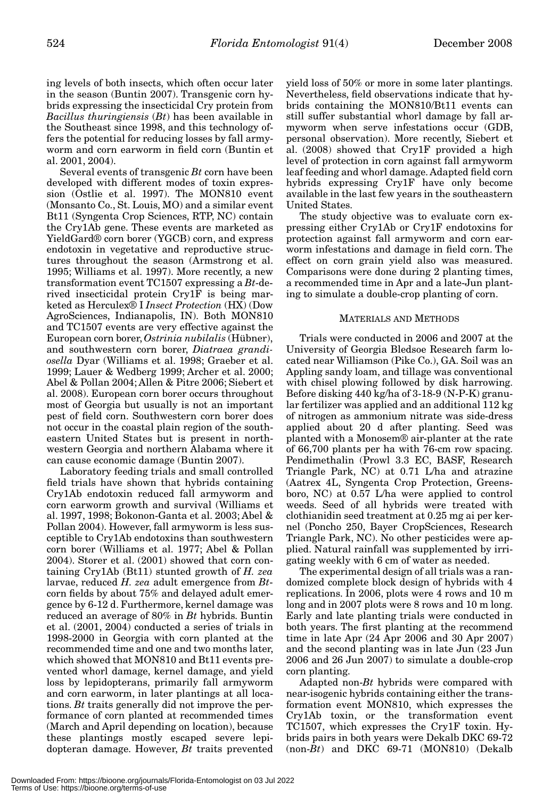ing levels of both insects, which often occur later in the season (Buntin 2007). Transgenic corn hybrids expressing the insecticidal Cry protein from *Bacillus thuringiensis* (*Bt*) has been available in the Southeast since 1998, and this technology offers the potential for reducing losses by fall armyworm and corn earworm in field corn (Buntin et al. 2001, 2004).

Several events of transgenic *Bt* corn have been developed with different modes of toxin expression (Ostlie et al. 1997). The MON810 event (Monsanto Co., St. Louis, MO) and a similar event Bt11 (Syngenta Crop Sciences, RTP, NC) contain the Cry1Ab gene. These events are marketed as YieldGard® corn borer (YGCB) corn, and express endotoxin in vegetative and reproductive structures throughout the season (Armstrong et al. 1995; Williams et al. 1997). More recently, a new transformation event TC1507 expressing a *Bt*-derived insecticidal protein Cry1F is being marketed as Herculex® I *Insect Protection* (HX) (Dow AgroSciences, Indianapolis, IN). Both MON810 and TC1507 events are very effective against the European corn borer, *Ostrinia nubilalis* (Hübner), and southwestern corn borer, *Diatraea grandiosella* Dyar (Williams et al. 1998; Graeber et al. 1999; Lauer & Wedberg 1999; Archer et al. 2000; Abel & Pollan 2004; Allen & Pitre 2006; Siebert et al. 2008). European corn borer occurs throughout most of Georgia but usually is not an important pest of field corn. Southwestern corn borer does not occur in the coastal plain region of the southeastern United States but is present in northwestern Georgia and northern Alabama where it can cause economic damage (Buntin 2007).

Laboratory feeding trials and small controlled field trials have shown that hybrids containing Cry1Ab endotoxin reduced fall armyworm and corn earworm growth and survival (Williams et al. 1997, 1998; Bokonon-Ganta et al. 2003; Abel & Pollan 2004). However, fall armyworm is less susceptible to Cry1Ab endotoxins than southwestern corn borer (Williams et al. 1977; Abel & Pollan 2004). Storer et al. (2001) showed that corn containing Cry1Ab (Bt11) stunted growth of *H. zea* larvae, reduced *H. zea* adult emergence from *Bt*corn fields by about 75% and delayed adult emergence by 6-12 d. Furthermore, kernel damage was reduced an average of 80% in *Bt* hybrids. Buntin et al. (2001, 2004) conducted a series of trials in 1998-2000 in Georgia with corn planted at the recommended time and one and two months later, which showed that MON810 and Bt11 events prevented whorl damage, kernel damage, and yield loss by lepidopterans, primarily fall armyworm and corn earworm, in later plantings at all locations. *Bt* traits generally did not improve the performance of corn planted at recommended times (March and April depending on location), because these plantings mostly escaped severe lepidopteran damage. However, *Bt* traits prevented

yield loss of 50% or more in some later plantings. Nevertheless, field observations indicate that hybrids containing the MON810/Bt11 events can still suffer substantial whorl damage by fall armyworm when serve infestations occur (GDB, personal observation). More recently, Siebert et al. (2008) showed that Cry1F provided a high level of protection in corn against fall armyworm leaf feeding and whorl damage. Adapted field corn hybrids expressing Cry1F have only become available in the last few years in the southeastern United States.

The study objective was to evaluate corn expressing either Cry1Ab or Cry1F endotoxins for protection against fall armyworm and corn earworm infestations and damage in field corn. The effect on corn grain yield also was measured. Comparisons were done during 2 planting times, a recommended time in Apr and a late-Jun planting to simulate a double-crop planting of corn.

# MATERIALS AND METHODS

Trials were conducted in 2006 and 2007 at the University of Georgia Bledsoe Research farm located near Williamson (Pike Co.), GA. Soil was an Appling sandy loam, and tillage was conventional with chisel plowing followed by disk harrowing. Before disking 440 kg/ha of 3-18-9 (N-P-K) granular fertilizer was applied and an additional 112 kg of nitrogen as ammonium nitrate was side-dress applied about 20 d after planting. Seed was planted with a Monosem® air-planter at the rate of 66,700 plants per ha with 76-cm row spacing. Pendimethalin (Prowl 3.3 EC, BASF, Research Triangle Park, NC) at 0.71 L/ha and atrazine (Aatrex 4L, Syngenta Crop Protection, Greensboro, NC) at 0.57 L/ha were applied to control weeds. Seed of all hybrids were treated with clothianidin seed treatment at 0.25 mg ai per kernel (Poncho 250, Bayer CropSciences, Research Triangle Park, NC). No other pesticides were applied. Natural rainfall was supplemented by irrigating weekly with 6 cm of water as needed.

The experimental design of all trials was a randomized complete block design of hybrids with 4 replications. In 2006, plots were 4 rows and 10 m long and in 2007 plots were 8 rows and 10 m long. Early and late planting trials were conducted in both years. The first planting at the recommend time in late Apr (24 Apr 2006 and 30 Apr 2007) and the second planting was in late Jun (23 Jun 2006 and 26 Jun 2007) to simulate a double-crop corn planting.

Adapted non-*Bt* hybrids were compared with near-isogenic hybrids containing either the transformation event MON810, which expresses the Cry1Ab toxin, or the transformation event TC1507, which expresses the Cry1F toxin. Hybrids pairs in both years were Dekalb DKC 69-72 (non-*Bt*) and DKC 69-71 (MON810) (Dekalb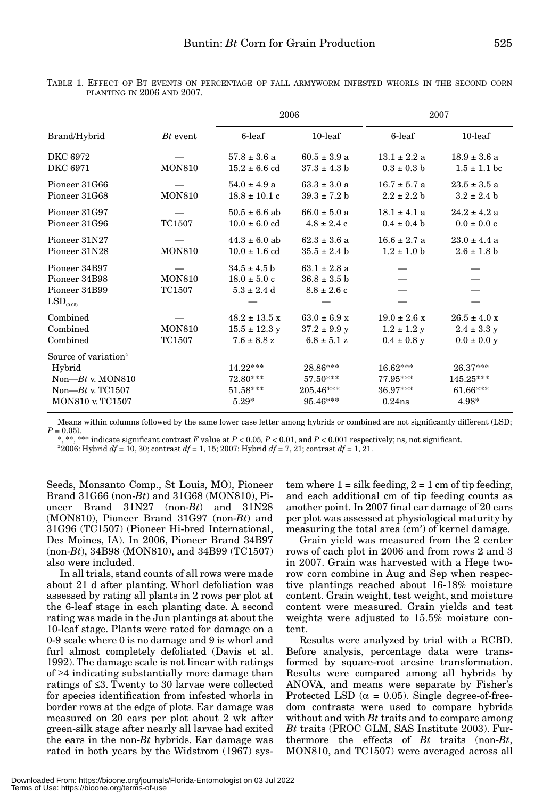|                                                                                                                     |                         | 2006                                                              |                                                                         | 2007                                                   |                                                                |
|---------------------------------------------------------------------------------------------------------------------|-------------------------|-------------------------------------------------------------------|-------------------------------------------------------------------------|--------------------------------------------------------|----------------------------------------------------------------|
| Brand/Hybrid                                                                                                        | $Bt$ event.             |                                                                   |                                                                         |                                                        |                                                                |
|                                                                                                                     |                         | 6-leaf                                                            | $10$ -leaf                                                              | 6-leaf                                                 | $10$ -leaf                                                     |
| DKC 6972<br>DKC 6971                                                                                                | <b>MON810</b>           | $57.8 \pm 3.6$ a<br>$15.2 \pm 6.6$ cd                             | $60.5 \pm 3.9 a$<br>$37.3 \pm 4.3$ b                                    | $13.1 \pm 2.2$ a<br>$0.3 \pm 0.3 h$                    | $18.9 \pm 3.6 a$<br>$1.5 \pm 1.1$ bc                           |
| Pioneer 31G66<br>Pioneer 31G68                                                                                      | <b>MON810</b>           | $54.0 \pm 4.9 a$<br>$18.8 \pm 10.1$ c                             | $63.3 \pm 3.0 a$<br>$39.3 \pm 7.2$ b                                    | $16.7 \pm 5.7$ a<br>$2.2 \pm 2.2 h$                    | $23.5 \pm 3.5$ a<br>$3.2 \pm 2.4$ b                            |
| Pioneer 31G97<br>Pioneer 31G96                                                                                      | TC1507                  | $50.5 \pm 6.6$ ab<br>$10.0 \pm 6.0$ cd                            | $66.0 \pm 5.0 a$<br>$4.8 \pm 2.4$ c                                     | $18.1 \pm 4.1 a$<br>$0.4 \pm 0.4$ b                    | $24.2 \pm 4.2$ a<br>$0.0 \pm 0.0 c$                            |
| Pioneer 31N27<br>Pioneer 31N28                                                                                      | <b>MON810</b>           | $44.3 \pm 6.0$ ab<br>$10.0 \pm 1.6$ cd                            | $62.3 \pm 3.6$ a<br>$35.5 \pm 2.4 h$                                    | $16.6 \pm 2.7 a$<br>$1.2 \pm 1.0$ b                    | $23.0 \pm 4.4$ a<br>$2.6 \pm 1.8$ b                            |
| Pioneer 34B97<br>Pioneer 34B98<br>Pioneer 34B99<br>LSD <sub>(0.05)</sub>                                            | <b>MON810</b><br>TC1507 | $34.5 \pm 4.5$ b<br>$18.0 \pm 5.0$ c<br>$5.3 \pm 2.4$ d           | $63.1 \pm 2.8$ a<br>$36.8 \pm 3.5$ b<br>$8.8 \pm 2.6$ c                 |                                                        |                                                                |
| Combined<br>Combined<br>Combined                                                                                    | <b>MON810</b><br>TC1507 | $48.2 \pm 13.5 \text{ x}$<br>$15.5 \pm 12.3$ y<br>$7.6 \pm 8.8$ z | $63.0 \pm 6.9 \text{ x}$<br>$37.2 \pm 9.9 \text{ y}$<br>$6.8 \pm 5.1 z$ | $19.0 \pm 2.6 x$<br>$1.2 \pm 1.2$ y<br>$0.4 \pm 0.8$ y | $26.5 \pm 4.0 \text{ x}$<br>$2.4 \pm 3.3$ y<br>$0.0 \pm 0.0 y$ |
| Source of variation <sup>2</sup><br>Hybrid<br>Non- $Bt$ v. MON810<br>Non- $Bt$ v. TC1507<br><b>MON810 v. TC1507</b> |                         | 14.22***<br>72.80***<br>$51.58***$<br>$5.29*$                     | 28.86***<br>$57.50***$<br>$205.46***$<br>$95.46***$                     | $16.62***$<br>$77.95***$<br>36.97***<br>$0.24$ ns      | 26.37***<br>145.25***<br>61.66***<br>$4.98*$                   |

TABLE 1. EFFECT OF BT EVENTS ON PERCENTAGE OF FALL ARMYWORM INFESTED WHORLS IN THE SECOND CORN PLANTING IN 2006 AND 2007.

Means within columns followed by the same lower case letter among hybrids or combined are not significantly different (LSD;  $P = 0.05$ .

\*, \*\*, \*\*\* indicate significant contrast *F* value at *P* < 0.05*, P* < 0.01, and *P* < 0.001 respectively; ns, not significant.

<sup>2</sup> 2006: Hybrid *df* = 10, 30; contrast *df* = 1, 15; 2007: Hybrid *df* = 7, 21; contrast *df* = 1, 21.

Seeds, Monsanto Comp., St Louis, MO), Pioneer Brand 31G66 (non-*Bt*) and 31G68 (MON810), Pioneer Brand 31N27 (non-*Bt*) and 31N28 (MON810), Pioneer Brand 31G97 (non-*Bt*) and 31G96 (TC1507) (Pioneer Hi-bred International, Des Moines, IA). In 2006, Pioneer Brand 34B97 (non-*Bt*), 34B98 (MON810), and 34B99 (TC1507) also were included.

In all trials, stand counts of all rows were made about 21 d after planting. Whorl defoliation was assessed by rating all plants in 2 rows per plot at the 6-leaf stage in each planting date. A second rating was made in the Jun plantings at about the 10-leaf stage. Plants were rated for damage on a 0-9 scale where 0 is no damage and 9 is whorl and furl almost completely defoliated (Davis et al. 1992). The damage scale is not linear with ratings of ≥4 indicating substantially more damage than ratings of ≤3. Twenty to 30 larvae were collected for species identification from infested whorls in border rows at the edge of plots. Ear damage was measured on 20 ears per plot about 2 wk after green-silk stage after nearly all larvae had exited the ears in the non-*Bt* hybrids. Ear damage was rated in both years by the Widstrom (1967) system where  $1 =$  silk feeding,  $2 = 1$  cm of tip feeding, and each additional cm of tip feeding counts as another point. In 2007 final ear damage of 20 ears per plot was assessed at physiological maturity by measuring the total area  $\text{(cm}^2\text{)}$  of kernel damage.

Grain yield was measured from the 2 center rows of each plot in 2006 and from rows 2 and 3 in 2007. Grain was harvested with a Hege tworow corn combine in Aug and Sep when respective plantings reached about 16-18% moisture content. Grain weight, test weight, and moisture content were measured. Grain yields and test weights were adjusted to 15.5% moisture content.

Results were analyzed by trial with a RCBD. Before analysis, percentage data were transformed by square-root arcsine transformation. Results were compared among all hybrids by ANOVA, and means were separate by Fisher's Protected LSD ( $\alpha = 0.05$ ). Single degree-of-freedom contrasts were used to compare hybrids without and with *Bt* traits and to compare among *Bt* traits (PROC GLM, SAS Institute 2003). Furthermore the effects of *Bt* traits (non-*Bt*, MON810, and TC1507) were averaged across all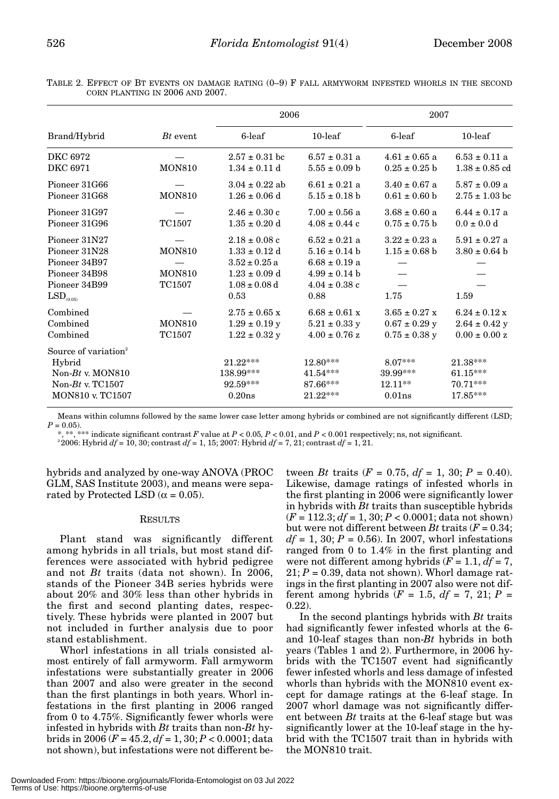TABLE 2. EFFECT OF BT EVENTS ON DAMAGE RATING (0–9) F FALL ARMYWORM INFESTED WHORLS IN THE SECOND CORN PLANTING IN 2006 AND 2007.

| Brand/Hybrid                                                                                                        | $Bt$ event                               | 2006                                                                                                          |                                                                                                               | 2007                                                        |                                                                     |
|---------------------------------------------------------------------------------------------------------------------|------------------------------------------|---------------------------------------------------------------------------------------------------------------|---------------------------------------------------------------------------------------------------------------|-------------------------------------------------------------|---------------------------------------------------------------------|
|                                                                                                                     |                                          | 6-leaf                                                                                                        | $10$ -leaf                                                                                                    | 6-leaf                                                      | $10$ -leaf                                                          |
| DKC 6972<br>DKC 6971                                                                                                | <b>MON810</b>                            | $2.57 \pm 0.31$ bc<br>$1.34 \pm 0.11$ d                                                                       | $6.57 \pm 0.31$ a<br>$5.55 \pm 0.09$ b                                                                        | $4.61 \pm 0.65$ a<br>$0.25 \pm 0.25$ b                      | $6.53 \pm 0.11$ a<br>$1.38 \pm 0.85$ cd                             |
| Pioneer 31G66<br>Pioneer 31G68                                                                                      | <b>MON810</b>                            | $3.04 \pm 0.22$ ab<br>$1.26 \pm 0.06$ d                                                                       | $6.61 \pm 0.21$ a<br>$5.15 \pm 0.18$ b                                                                        | $3.40 \pm 0.67$ a<br>$0.61 \pm 0.60$ b                      | $5.87 \pm 0.09$ a<br>$2.75 \pm 1.03$ bc                             |
| Pioneer 31G97<br>Pioneer 31G96                                                                                      | TC1507                                   | $2.46 \pm 0.30$ c<br>$1.35 \pm 0.20$ d                                                                        | $7.00 \pm 0.56$ a<br>$4.08 \pm 0.44$ c                                                                        | $3.68 \pm 0.60$ a<br>$0.75 \pm 0.75$ b                      | $6.44 \pm 0.17$ a<br>$0.0 \pm 0.0 d$                                |
| Pioneer 31N27<br>Pioneer 31N28<br>Pioneer 34B97<br>Pioneer 34B98<br>Pioneer 34B99<br>$\mathrm{LSD}_{_{(0.05)}}$     | <b>MON810</b><br><b>MON810</b><br>TC1507 | $2.18 \pm 0.08$ c<br>$1.33 \pm 0.12$ d<br>$3.52 \pm 0.25$ a<br>$1.23 \pm 0.09$ d<br>$1.08 \pm 0.08$ d<br>0.53 | $6.52 \pm 0.21$ a<br>$5.16 \pm 0.14$ b<br>$6.68 \pm 0.19$ a<br>$4.99 \pm 0.14$ b<br>$4.04 \pm 0.38$ c<br>0.88 | $3.22 \pm 0.23$ a<br>$1.15 \pm 0.68$ b<br>1.75              | $5.91 \pm 0.27$ a<br>$3.80 \pm 0.64$ b<br>1.59                      |
| Combined<br>Combined<br>Combined                                                                                    | <b>MON810</b><br>TC1507                  | $2.75 \pm 0.65$ x<br>$1.29 \pm 0.19$ y<br>$1.22 \pm 0.32$ y                                                   | $6.68 \pm 0.61 \text{ x}$<br>$5.21 \pm 0.33$ y<br>$4.00 \pm 0.76$ z                                           | $3.65 \pm 0.27$ x<br>$0.67 \pm 0.29$ y<br>$0.75 \pm 0.38$ y | $6.24 \pm 0.12 \text{ x}$<br>$2.64 \pm 0.42$ y<br>$0.00 \pm 0.00 z$ |
| Source of variation <sup>2</sup><br>Hybrid<br>Non- $Bt$ v. MON810<br>Non- $Bt$ v. TC1507<br><b>MON810 v. TC1507</b> |                                          | $21.22***$<br>138.99***<br>92.59***<br>0.20ns                                                                 | 12.80***<br>$41.54***$<br>87.66***<br>$21.22***$                                                              | $8.07***$<br>39.99***<br>$12.11**$<br>$0.01$ ns             | 21.38***<br>$61.15***$<br>70.71***<br>17.85***                      |

Means within columns followed by the same lower case letter among hybrids or combined are not significantly different (LSD;  $P = 0.05$ .

\*, \*\*, \*\*\* indicate significant contrast *F* value at *P* < 0.05*, P* < 0.01, and *P* < 0.001 respectively; ns, not significant.

 $2^{2}2006$ : Hybrid  $df = 10$ , 30; contrast  $df = 1$ , 15; 2007: Hybrid  $df = 7$ , 21; contrast  $df = 1$ , 21.

hybrids and analyzed by one-way ANOVA (PROC GLM, SAS Institute 2003), and means were separated by Protected LSD ( $\alpha = 0.05$ ).

# RESULTS

Plant stand was significantly different among hybrids in all trials, but most stand differences were associated with hybrid pedigree and not *Bt* traits (data not shown). In 2006, stands of the Pioneer 34B series hybrids were about 20% and 30% less than other hybrids in the first and second planting dates, respectively. These hybrids were planted in 2007 but not included in further analysis due to poor stand establishment.

Whorl infestations in all trials consisted almost entirely of fall armyworm. Fall armyworm infestations were substantially greater in 2006 than 2007 and also were greater in the second than the first plantings in both years. Whorl infestations in the first planting in 2006 ranged from 0 to 4.75%. Significantly fewer whorls were infested in hybrids with *Bt* traits than non-*Bt* hybrids in 2006 (*F* = 45.2, *df* = 1, 30; *P* < 0.0001; data not shown), but infestations were not different be-

tween *Bt* traits  $(F = 0.75, df = 1, 30; P = 0.40)$ . Likewise, damage ratings of infested whorls in the first planting in 2006 were significantly lower in hybrids with *Bt* traits than susceptible hybrids (*F* = 112.3; *df* = 1, 30; *P* < 0.0001; data not shown) but were not different between *Bt* traits  $(F = 0.34)$ ;  $df = 1, 30; P = 0.56$ . In 2007, whorl infestations ranged from 0 to 1.4% in the first planting and were not different among hybrids  $(F = 1.1, df = 7)$ ,  $21; P = 0.39$ , data not shown). Whorl damage ratings in the first planting in 2007 also were not different among hybrids ( $F = 1.5$ ,  $df = 7$ , 21;  $P =$ 0.22).

In the second plantings hybrids with *Bt* traits had significantly fewer infested whorls at the 6 and 10-leaf stages than non-*Bt* hybrids in both years (Tables 1 and 2). Furthermore, in 2006 hybrids with the TC1507 event had significantly fewer infested whorls and less damage of infested whorls than hybrids with the MON810 event except for damage ratings at the 6-leaf stage. In 2007 whorl damage was not significantly different between *Bt* traits at the 6-leaf stage but was significantly lower at the 10-leaf stage in the hybrid with the TC1507 trait than in hybrids with the MON810 trait.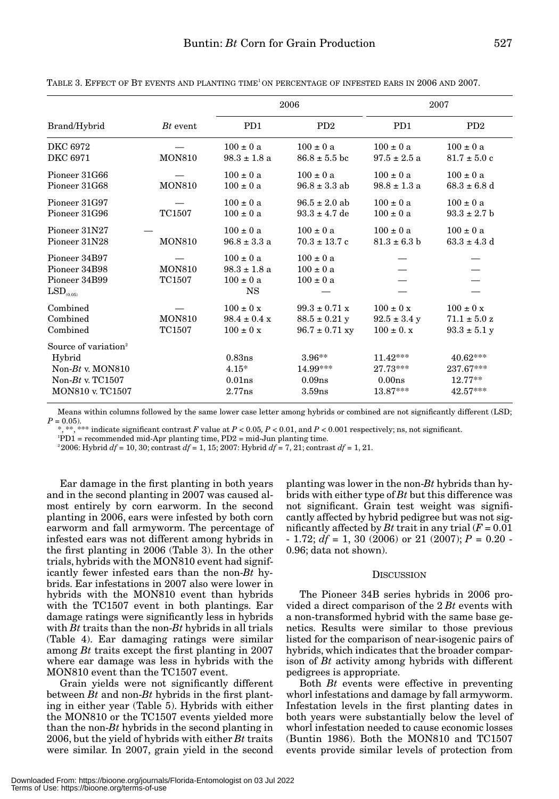| Brand/Hybrid                                                                                                 | $Bt$ event              | 2006                                                            |                                                                      | 2007                                                 |                                                       |
|--------------------------------------------------------------------------------------------------------------|-------------------------|-----------------------------------------------------------------|----------------------------------------------------------------------|------------------------------------------------------|-------------------------------------------------------|
|                                                                                                              |                         | PD1                                                             | P <sub>D</sub> <sub>2</sub>                                          | P <sub>D</sub> 1                                     | PD2                                                   |
| DKC 6972<br>DKC 6971                                                                                         | <b>MON810</b>           | $100 \pm 0 a$<br>$98.3 \pm 1.8$ a                               | $100 \pm 0 a$<br>$86.8 \pm 5.5$ bc                                   | $100 \pm 0 a$<br>$97.5 \pm 2.5$ a                    | $100 \pm 0 a$<br>$81.7 \pm 5.0$ c                     |
| Pioneer 31G66<br>Pioneer 31G68                                                                               | <b>MON810</b>           | $100 \pm 0 a$<br>$100 \pm 0 a$                                  | $100 \pm 0 a$<br>$96.8 \pm 3.3$ ab                                   | $100 \pm 0 a$<br>$98.8 \pm 1.3$ a                    | $100 \pm 0 a$<br>$68.3 \pm 6.8$ d                     |
| Pioneer 31G97<br>Pioneer 31G96                                                                               | TC1507                  | $100 \pm 0$ a<br>$100 \pm 0 a$                                  | $96.5 \pm 2.0$ ab<br>$93.3 \pm 4.7$ de                               | $100 \pm 0 a$<br>$100 \pm 0 a$                       | $100 \pm 0 a$<br>$93.3 \pm 2.7$ b                     |
| Pioneer 31N27<br>Pioneer 31N28                                                                               | <b>MON810</b>           | $100 \pm 0 a$<br>$96.8 \pm 3.3$ a                               | $100 \pm 0 a$<br>$70.3 \pm 13.7$ c                                   | $100 \pm 0 a$<br>$81.3 \pm 6.3 b$                    | $100 \pm 0 a$<br>$63.3 \pm 4.3$ d                     |
| Pioneer 34B97<br>Pioneer 34B98<br>Pioneer 34B99<br>$\mathrm{LSD}_{\scriptscriptstyle (0.05)}$                | <b>MON810</b><br>TC1507 | $100 \pm 0 a$<br>$98.3 \pm 1.8$ a<br>$100 \pm 0$ a<br><b>NS</b> | $100 \pm 0 a$<br>$100 \pm 0 a$<br>$100 \pm 0$ a                      |                                                      |                                                       |
| Combined<br>Combined<br>Combined                                                                             | <b>MON810</b><br>TC1507 | $100 \pm 0 x$<br>$98.4 \pm 0.4 x$<br>$100 \pm 0 x$              | $99.3 \pm 0.71 \text{ x}$<br>$88.5 \pm 0.21$ y<br>$96.7 \pm 0.71$ xy | $100 \pm 0 x$<br>$92.5 \pm 3.4$ y<br>$100 \pm 0$ . x | $100 \pm 0 x$<br>$71.1 \pm 5.0 z$<br>$93.3 \pm 5.1$ y |
| Source of variation <sup>2</sup><br>Hybrid<br>Non- $Bt$ v. MON810<br>Non- $Bt$ v. TC1507<br>MON810 v. TC1507 |                         | 0.83ns<br>$4.15*$<br>$0.01$ ns<br>2.77ns                        | $3.96**$<br>14.99***<br>0.09 <sub>ns</sub><br>3.59 <sub>ns</sub>     | $11.42***$<br>27.73***<br>0.00ns<br>$13.87***$       | $40.62***$<br>237.67***<br>$12.77**$<br>42.57***      |

TABLE 3. EFFECT OF BT EVENTS AND PLANTING TIME1 ON PERCENTAGE OF INFESTED EARS IN 2006 AND 2007.

Means within columns followed by the same lower case letter among hybrids or combined are not significantly different (LSD;  $P = 0.05$ .

\*, \*\*, \*\*\* indicate significant contrast *F* value at *P* < 0.05*, P* < 0.01, and *P* < 0.001 respectively; ns, not significant.

1 PD1 = recommended mid-Apr planting time, PD2 = mid-Jun planting time.

2 2006: Hybrid *df* = 10, 30; contrast *df* = 1, 15; 2007: Hybrid *df* = 7, 21; contrast *df* = 1, 21.

Ear damage in the first planting in both years and in the second planting in 2007 was caused almost entirely by corn earworm. In the second planting in 2006, ears were infested by both corn earworm and fall armyworm. The percentage of infested ears was not different among hybrids in the first planting in 2006 (Table 3). In the other trials, hybrids with the MON810 event had significantly fewer infested ears than the non-*Bt* hybrids. Ear infestations in 2007 also were lower in hybrids with the MON810 event than hybrids with the TC1507 event in both plantings. Ear damage ratings were significantly less in hybrids with *Bt* traits than the non-*Bt* hybrids in all trials (Table 4). Ear damaging ratings were similar among *Bt* traits except the first planting in 2007 where ear damage was less in hybrids with the MON810 event than the TC1507 event.

Grain yields were not significantly different between *Bt* and non-*Bt* hybrids in the first planting in either year (Table 5). Hybrids with either the MON810 or the TC1507 events yielded more than the non-*Bt* hybrids in the second planting in 2006, but the yield of hybrids with either *Bt* traits were similar. In 2007, grain yield in the second

planting was lower in the non-*Bt* hybrids than hybrids with either type of *Bt* but this difference was not significant. Grain test weight was significantly affected by hybrid pedigree but was not significantly affected by *Bt* trait in any trial  $(F = 0.01)$  $- 1.72$ ;  $df = 1$ , 30 (2006) or 21 (2007);  $P = 0.20$ . 0.96; data not shown).

# **DISCUSSION**

The Pioneer 34B series hybrids in 2006 provided a direct comparison of the 2 *Bt* events with a non-transformed hybrid with the same base genetics. Results were similar to those previous listed for the comparison of near-isogenic pairs of hybrids, which indicates that the broader comparison of *Bt* activity among hybrids with different pedigrees is appropriate.

Both *Bt* events were effective in preventing whorl infestations and damage by fall armyworm. Infestation levels in the first planting dates in both years were substantially below the level of whorl infestation needed to cause economic losses (Buntin 1986). Both the MON810 and TC1507 events provide similar levels of protection from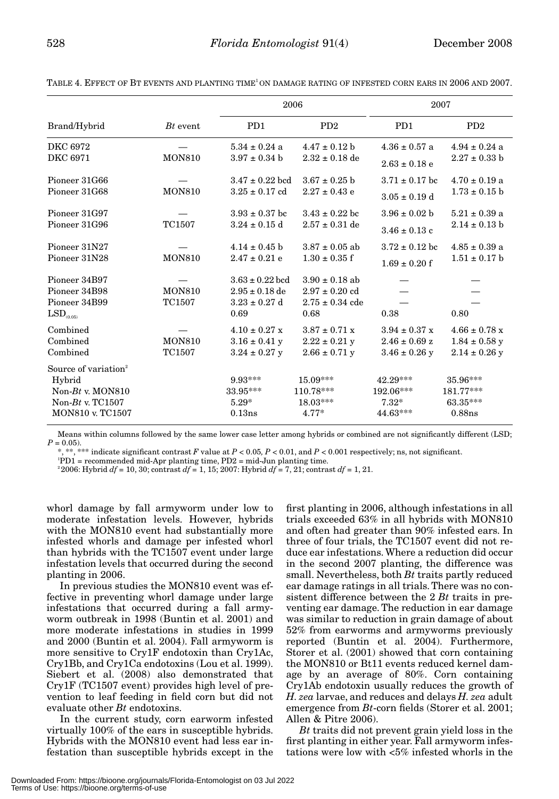|                                  |               | 2006                      |                             | 2007                      |                             |
|----------------------------------|---------------|---------------------------|-----------------------------|---------------------------|-----------------------------|
| Brand/Hybrid                     | $Bt$ event    | P <sub>D</sub> 1          | P <sub>D</sub> <sub>2</sub> | P <sub>D</sub> 1          | P <sub>D</sub> <sub>2</sub> |
| DKC 6972                         |               | $5.34 \pm 0.24$ a         | $4.47 \pm 0.12$ b           | $4.36 \pm 0.57$ a         | $4.94 \pm 0.24$ a           |
| DKC 6971                         | <b>MON810</b> | $3.97 \pm 0.34$ b         | $2.32 \pm 0.18$ de          | $2.63 \pm 0.18$ e         | $2.27 \pm 0.33$ b           |
| Pioneer 31G66                    |               | $3.47 \pm 0.22$ bcd       | $3.67 \pm 0.25$ b           | $3.71 \pm 0.17$ bc        | $4.70 \pm 0.19$ a           |
| Pioneer 31G68                    | <b>MON810</b> | $3.25 \pm 0.17$ cd        | $2.27 \pm 0.43$ e           | $3.05 \pm 0.19$ d         | $1.73 \pm 0.15$ b           |
| Pioneer 31G97                    |               | $3.93 \pm 0.37$ bc        | $3.43 \pm 0.22$ bc          | $3.96 \pm 0.02$ b         | $5.21 \pm 0.39$ a           |
| Pioneer 31G96                    | TC1507        | $3.24 \pm 0.15$ d         | $2.57 \pm 0.31$ de          | $3.46 \pm 0.13$ c         | $2.14 \pm 0.13$ b           |
| Pioneer 31N27                    |               | $4.14 \pm 0.45$ b         | $3.87 \pm 0.05$ ab          | $3.72 \pm 0.12$ bc        | $4.85 \pm 0.39$ a           |
| Pioneer 31N28                    | <b>MON810</b> | $2.47 \pm 0.21$ e         | $1.30 \pm 0.35$ f           | $1.69 \pm 0.20$ f         | $1.51 \pm 0.17$ b           |
| Pioneer 34B97                    |               | $3.63 \pm 0.22$ bcd       | $3.90 \pm 0.18$ ab          |                           |                             |
| Pioneer 34B98                    | <b>MON810</b> | $2.95 \pm 0.18$ de        | $2.97 \pm 0.20$ cd          |                           |                             |
| Pioneer 34B99                    | <b>TC1507</b> | $3.23 \pm 0.27$ d         | $2.75 \pm 0.34$ cde         |                           |                             |
| $LSD$ <sub>(0.05)</sub>          |               | 0.69                      | 0.68                        | 0.38                      | 0.80                        |
| Combined                         |               | $4.10 \pm 0.27 \text{ x}$ | $3.87 \pm 0.71 \text{ x}$   | $3.94 \pm 0.37 \text{ x}$ | $4.66 \pm 0.78$ x           |
| Combined                         | <b>MON810</b> | $3.16 \pm 0.41$ y         | $2.22 \pm 0.21$ y           | $2.46 \pm 0.69$ z         | $1.84 \pm 0.58$ y           |
| Combined                         | TC1507        | $3.24 \pm 0.27$ y         | $2.66 \pm 0.71$ y           | $3.46 \pm 0.26$ y         | $2.14 \pm 0.26$ y           |
| Source of variation <sup>2</sup> |               |                           |                             |                           |                             |
| Hybrid                           |               | $9.93***$                 | 15.09***                    | 42.29***                  | 35.96***                    |
| Non- $Bt$ v. MON810              |               | 33.95***                  | 110.78***                   | 192.06***                 | 181.77***                   |
| Non- $Bt$ v. TC1507              |               | $5.29*$                   | $18.03***$                  | $7.32*$                   | 63.35***                    |
| MON810 v. TC1507                 |               | 0.13ns                    | $4.77*$                     | 44.63***                  | $0.88$ ns                   |

TABLE 4. EFFECT OF BT EVENTS AND PLANTING TIME1 ON DAMAGE RATING OF INFESTED CORN EARS IN 2006 AND 2007.

Means within columns followed by the same lower case letter among hybrids or combined are not significantly different (LSD;  $P = 0.05$ ).

\*, \*\*, \*\*\* indicate significant contrast *F* value at *P* < 0.05*, P* < 0.01, and *P* < 0.001 respectively; ns, not significant.

1 PD1 = recommended mid-Apr planting time, PD2 = mid-Jun planting time.

2 2006: Hybrid *df* = 10, 30; contrast *df* = 1, 15; 2007: Hybrid *df* = 7, 21; contrast *df* = 1, 21.

whorl damage by fall armyworm under low to moderate infestation levels. However, hybrids with the MON810 event had substantially more infested whorls and damage per infested whorl than hybrids with the TC1507 event under large infestation levels that occurred during the second planting in 2006.

In previous studies the MON810 event was effective in preventing whorl damage under large infestations that occurred during a fall armyworm outbreak in 1998 (Buntin et al. 2001) and more moderate infestations in studies in 1999 and 2000 (Buntin et al. 2004). Fall armyworm is more sensitive to Cry1F endotoxin than Cry1Ac, Cry1Bb, and Cry1Ca endotoxins (Lou et al. 1999). Siebert et al. (2008) also demonstrated that Cry1F (TC1507 event) provides high level of prevention to leaf feeding in field corn but did not evaluate other *Bt* endotoxins.

In the current study, corn earworm infested virtually 100% of the ears in susceptible hybrids. Hybrids with the MON810 event had less ear infestation than susceptible hybrids except in the

first planting in 2006, although infestations in all trials exceeded 63% in all hybrids with MON810 and often had greater than 90% infested ears. In three of four trials, the TC1507 event did not reduce ear infestations. Where a reduction did occur in the second 2007 planting, the difference was small. Nevertheless, both *Bt* traits partly reduced ear damage ratings in all trials. There was no consistent difference between the 2 *Bt* traits in preventing ear damage. The reduction in ear damage was similar to reduction in grain damage of about 52% from earworms and armyworms previously reported (Buntin et al. 2004). Furthermore, Storer et al. (2001) showed that corn containing the MON810 or Bt11 events reduced kernel damage by an average of 80%. Corn containing Cry1Ab endotoxin usually reduces the growth of *H. zea* larvae, and reduces and delays *H. zea* adult emergence from *Bt*-corn fields (Storer et al. 2001; Allen & Pitre 2006).

*Bt* traits did not prevent grain yield loss in the first planting in either year. Fall armyworm infestations were low with <5% infested whorls in the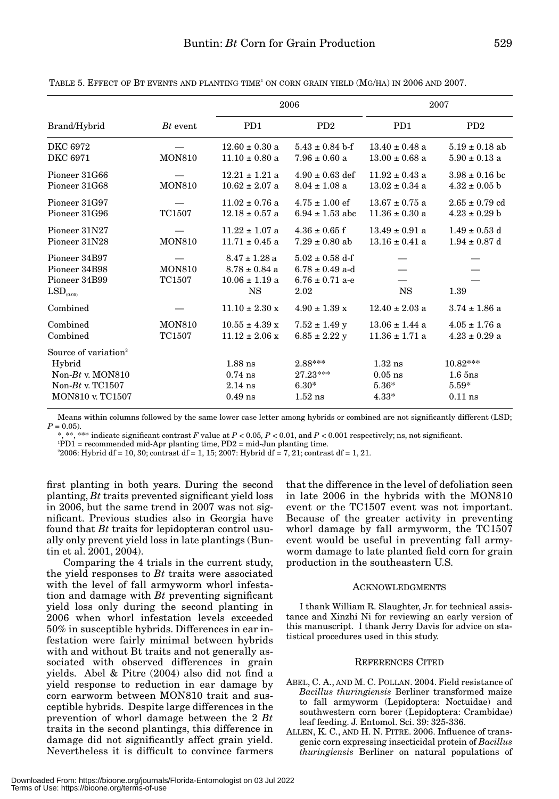|                                                                                                                     |                         | 2006                                                                      |                                                                           | 2007                                         |                                                  |
|---------------------------------------------------------------------------------------------------------------------|-------------------------|---------------------------------------------------------------------------|---------------------------------------------------------------------------|----------------------------------------------|--------------------------------------------------|
| Brand/Hybrid                                                                                                        | $Bt$ event.             | PD <sub>1</sub>                                                           | P <sub>D</sub> <sup>2</sup>                                               | P <sub>D</sub> 1                             | P <sub>D</sub> <sup>2</sup>                      |
| DKC 6972                                                                                                            | <b>MON810</b>           | $12.60 \pm 0.30$ a                                                        | $5.43 \pm 0.84$ b-f                                                       | $13.40 \pm 0.48$ a                           | $5.19 \pm 0.18$ ab                               |
| DKC 6971                                                                                                            |                         | $11.10 \pm 0.80$ a                                                        | $7.96 \pm 0.60$ a                                                         | $13.00 \pm 0.68$ a                           | $5.90 \pm 0.13$ a                                |
| Pioneer 31G66                                                                                                       | <b>MON810</b>           | $12.21 \pm 1.21$ a                                                        | $4.90 \pm 0.63$ def                                                       | $11.92 \pm 0.43$ a                           | $3.98 \pm 0.16$ bc                               |
| Pioneer 31G68                                                                                                       |                         | $10.62 \pm 2.07$ a                                                        | $8.04 \pm 1.08$ a                                                         | $13.02 \pm 0.34$ a                           | $4.32 \pm 0.05$ b                                |
| Pioneer 31G97                                                                                                       | TC1507                  | $11.02 \pm 0.76$ a                                                        | $4.75 \pm 1.00$ ef                                                        | $13.67 \pm 0.75$ a                           | $2.65 \pm 0.79$ cd                               |
| Pioneer 31G96                                                                                                       |                         | $12.18 \pm 0.57$ a                                                        | $6.94 \pm 1.53$ abc                                                       | $11.36 \pm 0.30$ a                           | $4.23 \pm 0.29$ b                                |
| Pioneer 31N27                                                                                                       | <b>MON810</b>           | $11.22 \pm 1.07$ a                                                        | $4.36 \pm 0.65$ f                                                         | $13.49 \pm 0.91$ a                           | $1.49 \pm 0.53$ d                                |
| Pioneer 31N28                                                                                                       |                         | $11.71 \pm 0.45$ a                                                        | $7.29 \pm 0.80$ ab                                                        | $13.16 \pm 0.41$ a                           | $1.94 \pm 0.87$ d                                |
| Pioneer 34B97<br>Pioneer 34B98<br>Pioneer 34B99<br>$\mathrm{LSD}_{(0.05)}$                                          | <b>MON810</b><br>TC1507 | $8.47 \pm 1.28$ a<br>$8.78 \pm 0.84$ a<br>$10.06 \pm 1.19$ a<br><b>NS</b> | $5.02 \pm 0.58$ d-f<br>$6.78 \pm 0.49$ a-d<br>$6.76 \pm 0.71$ a-e<br>2.02 | <b>NS</b>                                    | 1.39                                             |
| Combined                                                                                                            |                         | $11.10 \pm 2.30 \text{ x}$                                                | $4.90 \pm 1.39$ x                                                         | $12.40 \pm 2.03$ a                           | $3.74 \pm 1.86$ a                                |
| Combined                                                                                                            | <b>MON810</b>           | $10.55 \pm 4.39 \text{ x}$                                                | $7.52 \pm 1.49$ y                                                         | $13.06 \pm 1.44$ a                           | $4.05 \pm 1.76$ a                                |
| Combined                                                                                                            | TC1507                  | $11.12 \pm 2.06 \text{ x}$                                                | $6.85 \pm 2.22$ y                                                         | $11.36 \pm 1.71$ a                           | $4.23 \pm 0.29$ a                                |
| Source of variation <sup>2</sup><br>Hybrid<br>Non- $Bt$ v. MON810<br>Non- $Bt$ v. TC1507<br><b>MON810 v. TC1507</b> |                         | $1.88$ ns<br>$0.74$ ns<br>$2.14$ ns<br>$0.49$ ns                          | 2.88***<br>27.23***<br>$6.30*$<br>$1.52$ ns                               | $1.32$ ns<br>$0.05$ ns<br>$5.36*$<br>$4.33*$ | $10.82***$<br>$1.6\$ 5ns<br>$5.59*$<br>$0.11$ ns |

TABLE 5. EFFECT OF BT EVENTS AND PLANTING TIME<sup>1</sup> ON CORN GRAIN YIELD (MG/HA) IN 2006 AND 2007.

Means within columns followed by the same lower case letter among hybrids or combined are not significantly different (LSD;  $P = 0.05$ .

\*\* indicate significant contrast  $F$  value at  $P < 0.05$ ,  $P < 0.01$ , and  $P < 0.001$  respectively; ns, not significant.

1 PD1 = recommended mid-Apr planting time, PD2 = mid-Jun planting time.

2 2006: Hybrid df = 10, 30; contrast df = 1, 15; 2007: Hybrid df = 7, 21; contrast df = 1, 21.

first planting in both years. During the second planting, *Bt* traits prevented significant yield loss in 2006, but the same trend in 2007 was not significant. Previous studies also in Georgia have found that *Bt* traits for lepidopteran control usually only prevent yield loss in late plantings (Buntin et al. 2001, 2004).

Comparing the 4 trials in the current study, the yield responses to *Bt* traits were associated with the level of fall armyworm whorl infestation and damage with *Bt* preventing significant yield loss only during the second planting in 2006 when whorl infestation levels exceeded 50% in susceptible hybrids. Differences in ear infestation were fairly minimal between hybrids with and without Bt traits and not generally associated with observed differences in grain yields. Abel & Pitre (2004) also did not find a yield response to reduction in ear damage by corn earworm between MON810 trait and susceptible hybrids. Despite large differences in the prevention of whorl damage between the 2 *Bt* traits in the second plantings, this difference in damage did not significantly affect grain yield. Nevertheless it is difficult to convince farmers

that the difference in the level of defoliation seen in late 2006 in the hybrids with the MON810 event or the TC1507 event was not important. Because of the greater activity in preventing whorl damage by fall armyworm, the TC1507 event would be useful in preventing fall armyworm damage to late planted field corn for grain production in the southeastern U.S.

# ACKNOWLEDGMENTS

I thank William R. Slaughter, Jr. for technical assistance and Xinzhi Ni for reviewing an early version of this manuscript. I thank Jerry Davis for advice on statistical procedures used in this study.

# REFERENCES CITED

- ABEL, C. A., AND M. C. POLLAN. 2004. Field resistance of *Bacillus thuringiensis* Berliner transformed maize to fall armyworm (Lepidoptera: Noctuidae) and southwestern corn borer (Lepidoptera: Crambidae) leaf feeding. J. Entomol. Sci. 39: 325-336.
- ALLEN, K. C., AND H. N. PITRE. 2006. Influence of transgenic corn expressing insecticidal protein of *Bacillus thuringiensis* Berliner on natural populations of